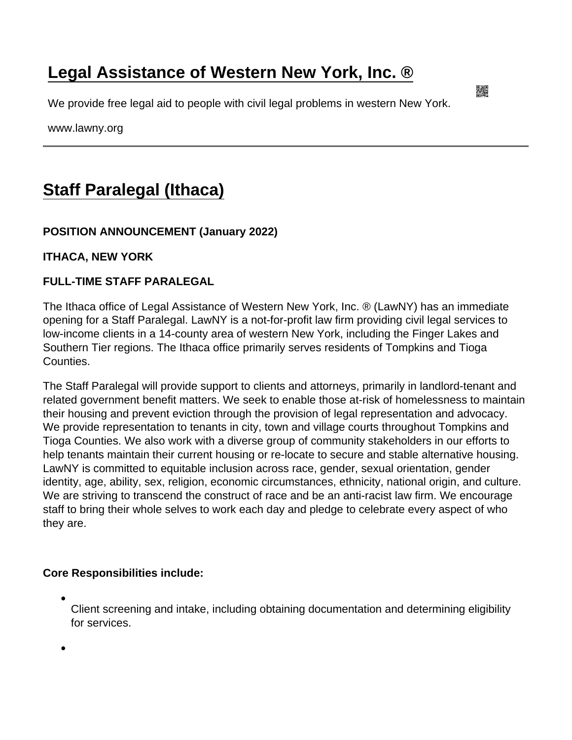## [Legal Assistance of Western New York, Inc. ®](https://www.lawny.org/)

We provide free legal aid to people with civil legal problems in western New York.

www.lawny.org

## [Staff Paralegal \(Ithaca\)](https://www.lawny.org/node/464/staff-paralegal-ithaca)

POSITION ANNOUNCEMENT (January 2022)

ITHACA, NEW YORK

FULL-TIME STAFF PARALEGAL

The Ithaca office of Legal Assistance of Western New York, Inc. ® (LawNY) has an immediate opening for a Staff Paralegal. LawNY is a not-for-profit law firm providing civil legal services to low-income clients in a 14-county area of western New York, including the Finger Lakes and Southern Tier regions. The Ithaca office primarily serves residents of Tompkins and Tioga Counties.

The Staff Paralegal will provide support to clients and attorneys, primarily in landlord-tenant and related government benefit matters. We seek to enable those at-risk of homelessness to maintain their housing and prevent eviction through the provision of legal representation and advocacy. We provide representation to tenants in city, town and village courts throughout Tompkins and Tioga Counties. We also work with a diverse group of community stakeholders in our efforts to help tenants maintain their current housing or re-locate to secure and stable alternative housing. LawNY is committed to equitable inclusion across race, gender, sexual orientation, gender identity, age, ability, sex, religion, economic circumstances, ethnicity, national origin, and culture. We are striving to transcend the construct of race and be an anti-racist law firm. We encourage staff to bring their whole selves to work each day and pledge to celebrate every aspect of who they are.

Core Responsibilities include:

Client screening and intake, including obtaining documentation and determining eligibility for services.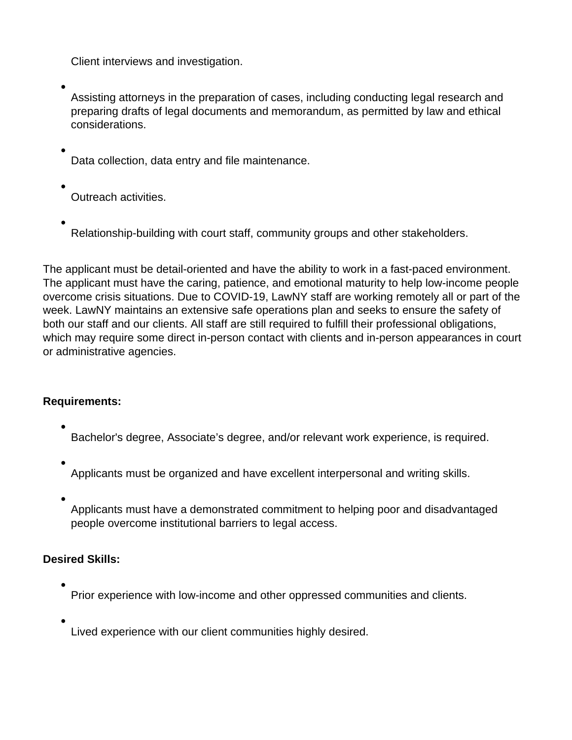Client interviews and investigation.

Assisting attorneys in the preparation of cases, including conducting legal research and preparing drafts of legal documents and memorandum, as permitted by law and ethical considerations.

Data collection, data entry and file maintenance.

Outreach activities.

Relationship-building with court staff, community groups and other stakeholders.

The applicant must be detail-oriented and have the ability to work in a fast-paced environment. The applicant must have the caring, patience, and emotional maturity to help low-income people overcome crisis situations. Due to COVID-19, LawNY staff are working remotely all or part of the week. LawNY maintains an extensive safe operations plan and seeks to ensure the safety of both our staff and our clients. All staff are still required to fulfill their professional obligations, which may require some direct in-person contact with clients and in-person appearances in court or administrative agencies.

## **Requirements:**

- Bachelor's degree, Associate's degree, and/or relevant work experience, is required.
- Applicants must be organized and have excellent interpersonal and writing skills.
- 

Applicants must have a demonstrated commitment to helping poor and disadvantaged people overcome institutional barriers to legal access.

## **Desired Skills:**

- Prior experience with low-income and other oppressed communities and clients.
	- Lived experience with our client communities highly desired.